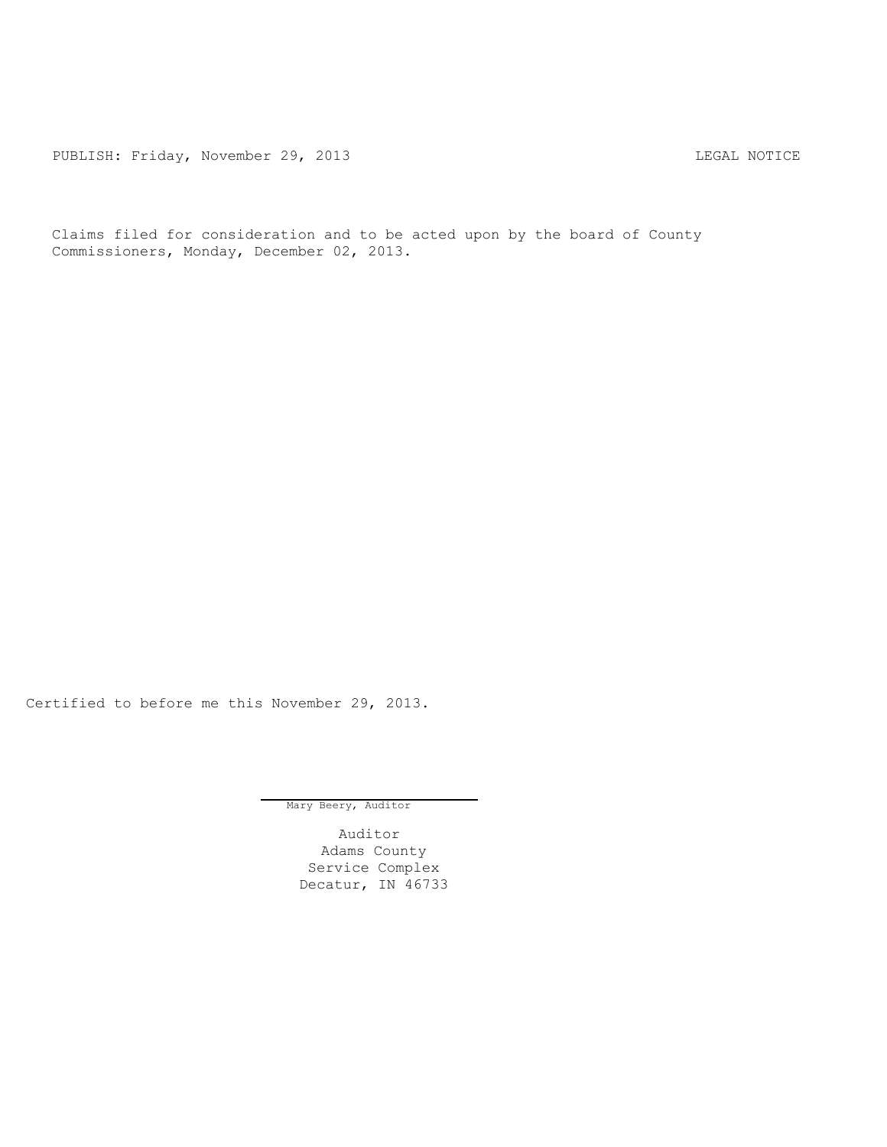PUBLISH: Friday, November 29, 2013 CHA CHARL MOTICE

Claims filed for consideration and to be acted upon by the board of County Commissioners, Monday, December 02, 2013.

Certified to before me this November 29, 2013.

Mary Beery, Auditor

Auditor Adams County Service Complex Decatur, IN 46733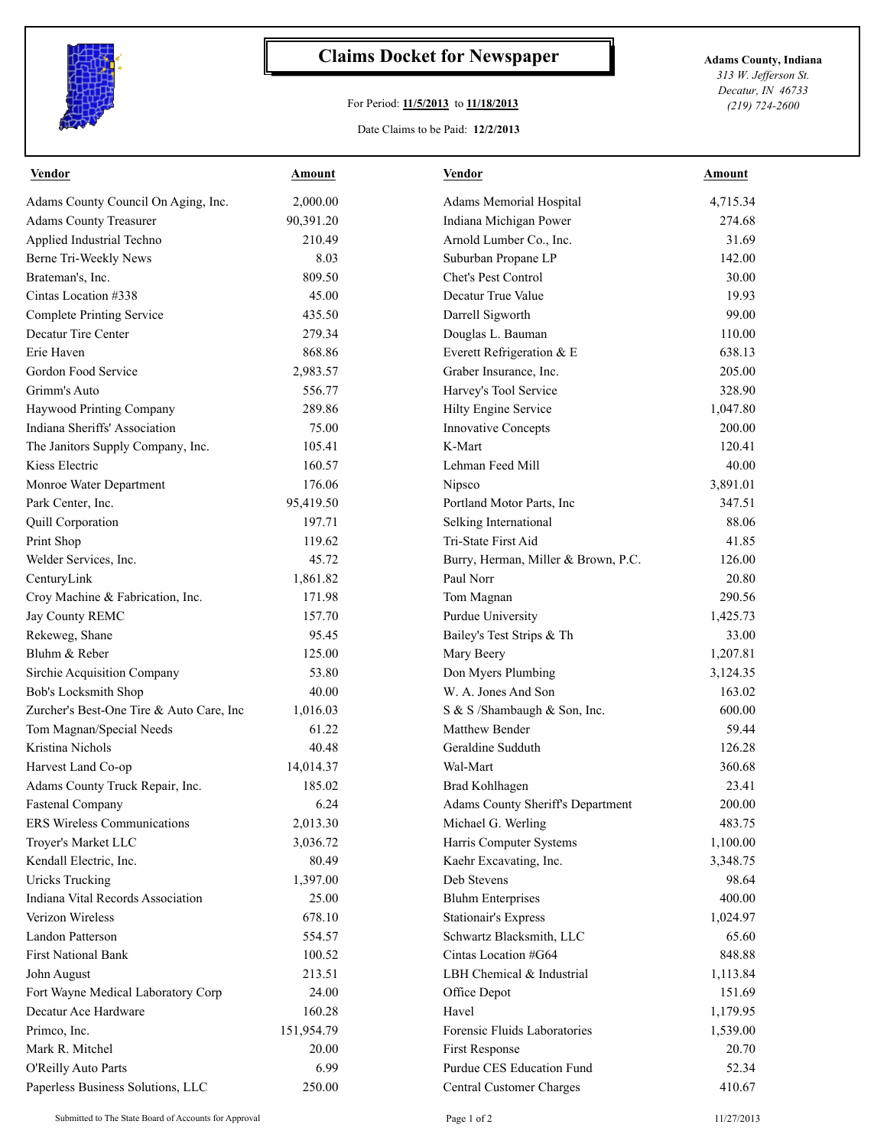

## **Claims Docket for Newspaper Adams County, Indiana**

## For Period: **11/5/2013** to **11/18/2013**

*313 W. Jefferson St. Decatur, IN 46733 (219) 724-2600*

## Date Claims to be Paid: **12/2/2013**

| <b>Vendor</b>                            | <u>Amount</u> | <b>Vendor</b>                       | <b>Amount</b> |
|------------------------------------------|---------------|-------------------------------------|---------------|
| Adams County Council On Aging, Inc.      | 2,000.00      | Adams Memorial Hospital             | 4,715.34      |
| <b>Adams County Treasurer</b>            | 90,391.20     | Indiana Michigan Power              | 274.68        |
| Applied Industrial Techno                | 210.49        | Arnold Lumber Co., Inc.             | 31.69         |
| Berne Tri-Weekly News                    | 8.03          | Suburban Propane LP                 | 142.00        |
| Brateman's, Inc.                         | 809.50        | Chet's Pest Control                 | 30.00         |
| Cintas Location #338                     | 45.00         | Decatur True Value                  | 19.93         |
| <b>Complete Printing Service</b>         | 435.50        | Darrell Sigworth                    | 99.00         |
| Decatur Tire Center                      | 279.34        | Douglas L. Bauman                   | 110.00        |
| Erie Haven                               | 868.86        | Everett Refrigeration & E           | 638.13        |
| Gordon Food Service                      | 2,983.57      | Graber Insurance, Inc.              | 205.00        |
| Grimm's Auto                             | 556.77        | Harvey's Tool Service               | 328.90        |
| Haywood Printing Company                 | 289.86        | Hilty Engine Service                | 1,047.80      |
| Indiana Sheriffs' Association            | 75.00         | <b>Innovative Concepts</b>          | 200.00        |
| The Janitors Supply Company, Inc.        | 105.41        | K-Mart                              | 120.41        |
| Kiess Electric                           | 160.57        | Lehman Feed Mill                    | 40.00         |
| Monroe Water Department                  | 176.06        | Nipsco                              | 3,891.01      |
| Park Center, Inc.                        | 95,419.50     | Portland Motor Parts, Inc           | 347.51        |
| Quill Corporation                        | 197.71        | Selking International               | 88.06         |
| Print Shop                               | 119.62        | Tri-State First Aid                 | 41.85         |
| Welder Services, Inc.                    | 45.72         | Burry, Herman, Miller & Brown, P.C. | 126.00        |
| CenturyLink                              | 1,861.82      | Paul Norr                           | 20.80         |
| Croy Machine & Fabrication, Inc.         | 171.98        | Tom Magnan                          | 290.56        |
| Jay County REMC                          | 157.70        | Purdue University                   | 1,425.73      |
| Rekeweg, Shane                           | 95.45         | Bailey's Test Strips & Th           | 33.00         |
| Bluhm & Reber                            | 125.00        | Mary Beery                          | 1,207.81      |
| Sirchie Acquisition Company              | 53.80         | Don Myers Plumbing                  | 3,124.35      |
| Bob's Locksmith Shop                     | 40.00         | W. A. Jones And Son                 | 163.02        |
| Zurcher's Best-One Tire & Auto Care, Inc | 1,016.03      | S & S /Shambaugh & Son, Inc.        | 600.00        |
| Tom Magnan/Special Needs                 | 61.22         | Matthew Bender                      | 59.44         |
| Kristina Nichols                         | 40.48         | Geraldine Sudduth                   | 126.28        |
| Harvest Land Co-op                       | 14,014.37     | Wal-Mart                            | 360.68        |
| Adams County Truck Repair, Inc.          | 185.02        | <b>Brad Kohlhagen</b>               | 23.41         |
| <b>Fastenal Company</b>                  | 6.24          | Adams County Sheriff's Department   | 200.00        |
| ERS Wireless Communications              | 2,013.30      | Michael G. Werling                  | 483.75        |
| Troyer's Market LLC                      | 3,036.72      | Harris Computer Systems             | 1,100.00      |
| Kendall Electric, Inc.                   | 80.49         | Kaehr Excavating, Inc.              | 3,348.75      |
| <b>Uricks Trucking</b>                   | 1,397.00      | Deb Stevens                         | 98.64         |
| Indiana Vital Records Association        | 25.00         | <b>Bluhm Enterprises</b>            | 400.00        |
| Verizon Wireless                         | 678.10        | Stationair's Express                | 1,024.97      |
| <b>Landon Patterson</b>                  | 554.57        | Schwartz Blacksmith, LLC            | 65.60         |
| <b>First National Bank</b>               | 100.52        | Cintas Location #G64                | 848.88        |
| John August                              | 213.51        | LBH Chemical & Industrial           | 1,113.84      |
| Fort Wayne Medical Laboratory Corp       | 24.00         | Office Depot                        | 151.69        |
| Decatur Ace Hardware                     | 160.28        | Havel                               | 1,179.95      |
| Primco, Inc.                             | 151,954.79    | Forensic Fluids Laboratories        | 1,539.00      |
| Mark R. Mitchel                          | 20.00         | First Response                      | 20.70         |
| O'Reilly Auto Parts                      | 6.99          | Purdue CES Education Fund           | 52.34         |
|                                          | 250.00        |                                     | 410.67        |
| Paperless Business Solutions, LLC        |               | Central Customer Charges            |               |